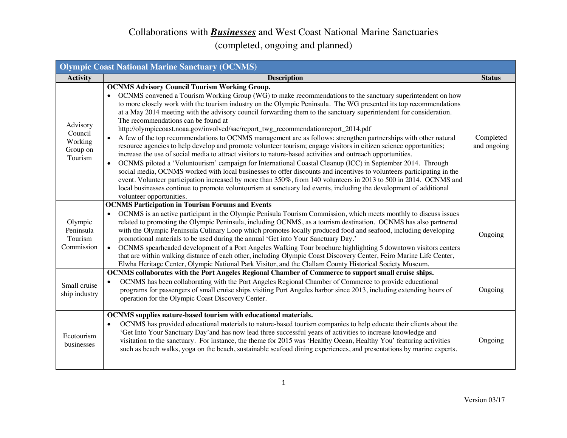| <b>Olympic Coast National Marine Sanctuary (OCNMS)</b> |                                                                                                                                                                                                                                                                                                                                                                                                                                                                                                                                                                                                                                                                                                                                                                                                                                                                                                                                                                                                                                                                                                                                                                                                                                                                                                                                                                                                                  |                          |
|--------------------------------------------------------|------------------------------------------------------------------------------------------------------------------------------------------------------------------------------------------------------------------------------------------------------------------------------------------------------------------------------------------------------------------------------------------------------------------------------------------------------------------------------------------------------------------------------------------------------------------------------------------------------------------------------------------------------------------------------------------------------------------------------------------------------------------------------------------------------------------------------------------------------------------------------------------------------------------------------------------------------------------------------------------------------------------------------------------------------------------------------------------------------------------------------------------------------------------------------------------------------------------------------------------------------------------------------------------------------------------------------------------------------------------------------------------------------------------|--------------------------|
| <b>Activity</b>                                        | <b>Description</b>                                                                                                                                                                                                                                                                                                                                                                                                                                                                                                                                                                                                                                                                                                                                                                                                                                                                                                                                                                                                                                                                                                                                                                                                                                                                                                                                                                                               | <b>Status</b>            |
| Advisory<br>Council<br>Working<br>Group on<br>Tourism  | <b>OCNMS Advisory Council Tourism Working Group.</b><br>OCNMS convened a Tourism Working Group (WG) to make recommendations to the sanctuary superintendent on how<br>to more closely work with the tourism industry on the Olympic Peninsula. The WG presented its top recommendations<br>at a May 2014 meeting with the advisory council forwarding them to the sanctuary superintendent for consideration.<br>The recommendations can be found at<br>http://olympiccoast.noaa.gov/involved/sac/report_twg_recommendationreport_2014.pdf<br>A few of the top recommendations to OCNMS management are as follows: strengthen partnerships with other natural<br>resource agencies to help develop and promote volunteer tourism; engage visitors in citizen science opportunities;<br>increase the use of social media to attract visitors to nature-based activities and outreach opportunities.<br>OCNMS piloted a 'Voluntourism' campaign for International Coastal Cleanup (ICC) in September 2014. Through<br>social media, OCNMS worked with local businesses to offer discounts and incentives to volunteers participating in the<br>event. Volunteer participation increased by more than 350%, from 140 volunteers in 2013 to 500 in 2014. OCNMS and<br>local businesses continue to promote voluntourism at sanctuary led events, including the development of additional<br>volunteer opportunities. | Completed<br>and ongoing |
| Olympic<br>Peninsula<br>Tourism<br>Commission          | <b>OCNMS Participation in Tourism Forums and Events</b><br>OCNMS is an active participant in the Olympic Penisula Tourism Commission, which meets monthly to discuss issues<br>related to promoting the Olympic Peninsula, including OCNMS, as a tourism destination. OCNMS has also partnered<br>with the Olympic Peninsula Culinary Loop which promotes locally produced food and seafood, including developing<br>promotional materials to be used during the annual 'Get into Your Sanctuary Day.'<br>OCNMS spearheaded development of a Port Angeles Walking Tour brochure highlighting 5 downtown visitors centers<br>$\bullet$<br>that are within walking distance of each other, including Olympic Coast Discovery Center, Feiro Marine Life Center,<br>Elwha Heritage Center, Olympic National Park Visitor, and the Clallam County Historical Society Museum.                                                                                                                                                                                                                                                                                                                                                                                                                                                                                                                                          | Ongoing                  |
| Small cruise<br>ship industry                          | <b>OCNMS</b> collaborates with the Port Angeles Regional Chamber of Commerce to support small cruise ships.<br>OCNMS has been collaborating with the Port Angeles Regional Chamber of Commerce to provide educational<br>programs for passengers of small cruise ships visiting Port Angeles harbor since 2013, including extending hours of<br>operation for the Olympic Coast Discovery Center.                                                                                                                                                                                                                                                                                                                                                                                                                                                                                                                                                                                                                                                                                                                                                                                                                                                                                                                                                                                                                | Ongoing                  |
| Ecotourism<br>businesses                               | OCNMS supplies nature-based tourism with educational materials.<br>OCNMS has provided educational materials to nature-based tourism companies to help educate their clients about the<br>'Get Into Your Sanctuary Day'and has now lead three successful years of activities to increase knowledge and<br>visitation to the sanctuary. For instance, the theme for 2015 was 'Healthy Ocean, Healthy You' featuring activities<br>such as beach walks, yoga on the beach, sustainable seafood dining experiences, and presentations by marine experts.                                                                                                                                                                                                                                                                                                                                                                                                                                                                                                                                                                                                                                                                                                                                                                                                                                                             | Ongoing                  |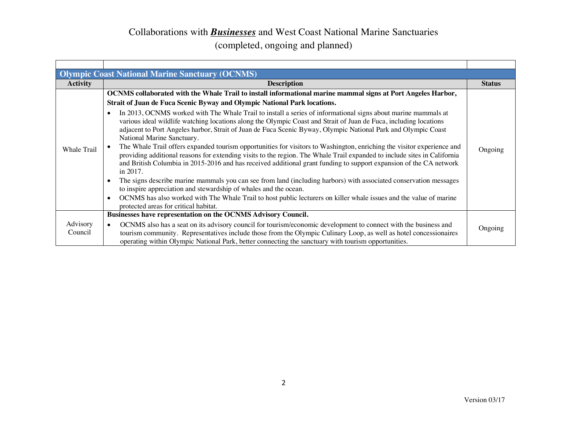|                     | <b>Olympic Coast National Marine Sanctuary (OCNMS)</b>                                                                                                                                                                                                                                                                                                                               |               |
|---------------------|--------------------------------------------------------------------------------------------------------------------------------------------------------------------------------------------------------------------------------------------------------------------------------------------------------------------------------------------------------------------------------------|---------------|
| <b>Activity</b>     | <b>Description</b>                                                                                                                                                                                                                                                                                                                                                                   | <b>Status</b> |
|                     | OCNMS collaborated with the Whale Trail to install informational marine mammal signs at Port Angeles Harbor,                                                                                                                                                                                                                                                                         |               |
|                     | Strait of Juan de Fuca Scenic Byway and Olympic National Park locations.                                                                                                                                                                                                                                                                                                             |               |
|                     | In 2013, OCNMS worked with The Whale Trail to install a series of informational signs about marine mammals at<br>various ideal wildlife watching locations along the Olympic Coast and Strait of Juan de Fuca, including locations<br>adjacent to Port Angeles harbor, Strait of Juan de Fuca Scenic Byway, Olympic National Park and Olympic Coast<br>National Marine Sanctuary.    |               |
| <b>Whale Trail</b>  | The Whale Trail offers expanded tourism opportunities for visitors to Washington, enriching the visitor experience and<br>providing additional reasons for extending visits to the region. The Whale Trail expanded to include sites in California<br>and British Columbia in 2015-2016 and has received additional grant funding to support expansion of the CA network<br>in 2017. | Ongoing       |
|                     | The signs describe marine mammals you can see from land (including harbors) with associated conservation messages<br>to inspire appreciation and stewardship of whales and the ocean.                                                                                                                                                                                                |               |
|                     | OCNMS has also worked with The Whale Trail to host public lecturers on killer whale issues and the value of marine<br>$\bullet$<br>protected areas for critical habitat.                                                                                                                                                                                                             |               |
|                     | Businesses have representation on the OCNMS Advisory Council.                                                                                                                                                                                                                                                                                                                        |               |
| Advisory<br>Council | OCNMS also has a seat on its advisory council for tourism/economic development to connect with the business and<br>$\bullet$<br>tourism community. Representatives include those from the Olympic Culinary Loop, as well as hotel concessionaires<br>operating within Olympic National Park, better connecting the sanctuary with tourism opportunities.                             | Ongoing       |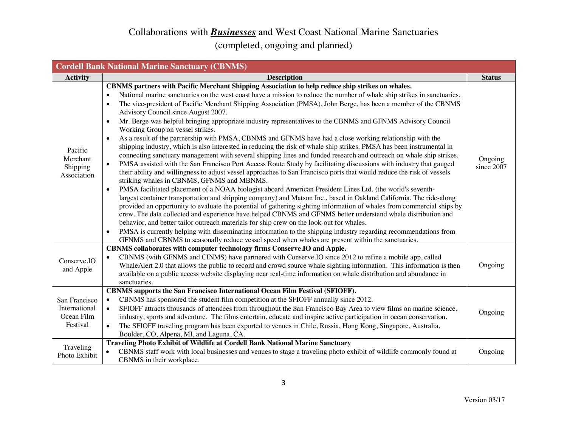| <b>Cordell Bank National Marine Sanctuary (CBNMS)</b>    |                                                                                                                                                                                                                                                                                                                                                                                                                                                                                                                                                                                                                                                                                                                                                                                                                                                                                                                                                                                                                                                                                                                                                                                                                                                                                                                                                                                                                                                                                                                                                                                                                                                                                                                                                                                                                                                                                                                                                                                                                                                       |                       |
|----------------------------------------------------------|-------------------------------------------------------------------------------------------------------------------------------------------------------------------------------------------------------------------------------------------------------------------------------------------------------------------------------------------------------------------------------------------------------------------------------------------------------------------------------------------------------------------------------------------------------------------------------------------------------------------------------------------------------------------------------------------------------------------------------------------------------------------------------------------------------------------------------------------------------------------------------------------------------------------------------------------------------------------------------------------------------------------------------------------------------------------------------------------------------------------------------------------------------------------------------------------------------------------------------------------------------------------------------------------------------------------------------------------------------------------------------------------------------------------------------------------------------------------------------------------------------------------------------------------------------------------------------------------------------------------------------------------------------------------------------------------------------------------------------------------------------------------------------------------------------------------------------------------------------------------------------------------------------------------------------------------------------------------------------------------------------------------------------------------------------|-----------------------|
| <b>Activity</b>                                          | <b>Description</b>                                                                                                                                                                                                                                                                                                                                                                                                                                                                                                                                                                                                                                                                                                                                                                                                                                                                                                                                                                                                                                                                                                                                                                                                                                                                                                                                                                                                                                                                                                                                                                                                                                                                                                                                                                                                                                                                                                                                                                                                                                    | <b>Status</b>         |
| Pacific<br>Merchant<br>Shipping<br>Association           | CBNMS partners with Pacific Merchant Shipping Association to help reduce ship strikes on whales.<br>National marine sanctuaries on the west coast have a mission to reduce the number of whale ship strikes in sanctuaries.<br>$\bullet$<br>The vice-president of Pacific Merchant Shipping Association (PMSA), John Berge, has been a member of the CBNMS<br>$\bullet$<br>Advisory Council since August 2007.<br>Mr. Berge was helpful bringing appropriate industry representatives to the CBNMS and GFNMS Advisory Council<br>Working Group on vessel strikes.<br>As a result of the partnership with PMSA, CBNMS and GFNMS have had a close working relationship with the<br>٠<br>shipping industry, which is also interested in reducing the risk of whale ship strikes. PMSA has been instrumental in<br>connecting sanctuary management with several shipping lines and funded research and outreach on whale ship strikes.<br>PMSA assisted with the San Francisco Port Access Route Study by facilitating discussions with industry that gauged<br>$\bullet$<br>their ability and willingness to adjust vessel approaches to San Francisco ports that would reduce the risk of vessels<br>striking whales in CBNMS, GFNMS and MBNMS.<br>PMSA facilitated placement of a NOAA biologist aboard American President Lines Ltd. (the world's seventh-<br>largest container transportation and shipping company) and Matson Inc., based in Oakland California. The ride-along<br>provided an opportunity to evaluate the potential of gathering sighting information of whales from commercial ships by<br>crew. The data collected and experience have helped CBNMS and GFNMS better understand whale distribution and<br>behavior, and better tailor outreach materials for ship crew on the look-out for whales.<br>PMSA is currently helping with disseminating information to the shipping industry regarding recommendations from<br>٠<br>GFNMS and CBNMS to seasonally reduce vessel speed when whales are present within the sanctuaries. | Ongoing<br>since 2007 |
| Conserve.IO<br>and Apple                                 | CBNMS collaborates with computer technology firms Conserve.IO and Apple.<br>CBNMS (with GFNMS and CINMS) have partnered with Conserve. IO since 2012 to refine a mobile app, called<br>$\bullet$<br>WhaleAlert 2.0 that allows the public to record and crowd source whale sighting information. This information is then<br>available on a public access website displaying near real-time information on whale distribution and abundance in<br>sanctuaries.                                                                                                                                                                                                                                                                                                                                                                                                                                                                                                                                                                                                                                                                                                                                                                                                                                                                                                                                                                                                                                                                                                                                                                                                                                                                                                                                                                                                                                                                                                                                                                                        | Ongoing               |
| San Francisco<br>International<br>Ocean Film<br>Festival | <b>CBNMS</b> supports the San Francisco International Ocean Film Festival (SFIOFF).<br>CBNMS has sponsored the student film competition at the SFIOFF annually since 2012.<br>SFIOFF attracts thousands of attendees from throughout the San Francisco Bay Area to view films on marine science,<br>$\bullet$<br>industry, sports and adventure. The films entertain, educate and inspire active participation in ocean conservation.<br>The SFIOFF traveling program has been exported to venues in Chile, Russia, Hong Kong, Singapore, Australia,<br>$\bullet$<br>Boulder, CO, Alpena, MI, and Laguna, CA.<br>Traveling Photo Exhibit of Wildlife at Cordell Bank National Marine Sanctuary                                                                                                                                                                                                                                                                                                                                                                                                                                                                                                                                                                                                                                                                                                                                                                                                                                                                                                                                                                                                                                                                                                                                                                                                                                                                                                                                                        | Ongoing               |
| Traveling<br>Photo Exhibit                               | CBNMS staff work with local businesses and venues to stage a traveling photo exhibit of wildlife commonly found at<br>CBNMS in their workplace.                                                                                                                                                                                                                                                                                                                                                                                                                                                                                                                                                                                                                                                                                                                                                                                                                                                                                                                                                                                                                                                                                                                                                                                                                                                                                                                                                                                                                                                                                                                                                                                                                                                                                                                                                                                                                                                                                                       | Ongoing               |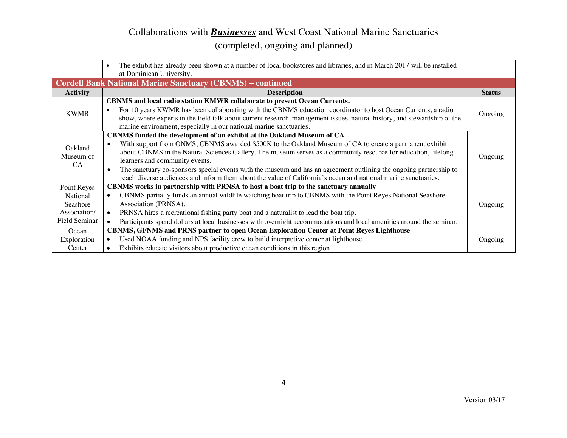|                 | The exhibit has already been shown at a number of local bookstores and libraries, and in March 2017 will be installed<br>$\bullet$<br>at Dominican University. |               |
|-----------------|----------------------------------------------------------------------------------------------------------------------------------------------------------------|---------------|
|                 | <b>Cordell Bank National Marine Sanctuary (CBNMS) - continued</b>                                                                                              |               |
| <b>Activity</b> | <b>Description</b>                                                                                                                                             | <b>Status</b> |
|                 | <b>CBNMS</b> and local radio station KMWR collaborate to present Ocean Currents.                                                                               |               |
| <b>KWMR</b>     | For 10 years KWMR has been collaborating with the CBNMS education coordinator to host Ocean Currents, a radio<br>$\bullet$                                     | Ongoing       |
|                 | show, where experts in the field talk about current research, management issues, natural history, and stewardship of the                                       |               |
|                 | marine environment, especially in our national marine sanctuaries.                                                                                             |               |
|                 | CBNMS funded the development of an exhibit at the Oakland Museum of CA                                                                                         |               |
| Oakland         | With support from ONMS, CBNMS awarded \$500K to the Oakland Museum of CA to create a permanent exhibit<br>$\bullet$                                            |               |
| Museum of       | about CBNMS in the Natural Sciences Gallery. The museum serves as a community resource for education, lifelong                                                 | Ongoing       |
| CA.             | learners and community events.                                                                                                                                 |               |
|                 | The sanctuary co-sponsors special events with the museum and has an agreement outlining the ongoing partnership to<br>$\bullet$                                |               |
|                 | reach diverse audiences and inform them about the value of California's ocean and national marine sanctuaries.                                                 |               |
| Point Reyes     | CBNMS works in partnership with PRNSA to host a boat trip to the sanctuary annually                                                                            |               |
| National        | CBNMS partially funds an annual wildlife watching boat trip to CBNMS with the Point Reyes National Seashore                                                    |               |
| Seashore        | Association (PRNSA).                                                                                                                                           | Ongoing       |
| Association/    | PRNSA hires a recreational fishing party boat and a naturalist to lead the boat trip.<br>$\bullet$                                                             |               |
| Field Seminar   | Participants spend dollars at local businesses with overnight accommodations and local amenities around the seminar.                                           |               |
| Ocean           | <b>CBNMS, GFNMS and PRNS partner to open Ocean Exploration Center at Point Reyes Lighthouse</b>                                                                |               |
| Exploration     | Used NOAA funding and NPS facility crew to build interpretive center at lighthouse<br>$\bullet$                                                                | Ongoing       |
| Center          | Exhibits educate visitors about productive ocean conditions in this region                                                                                     |               |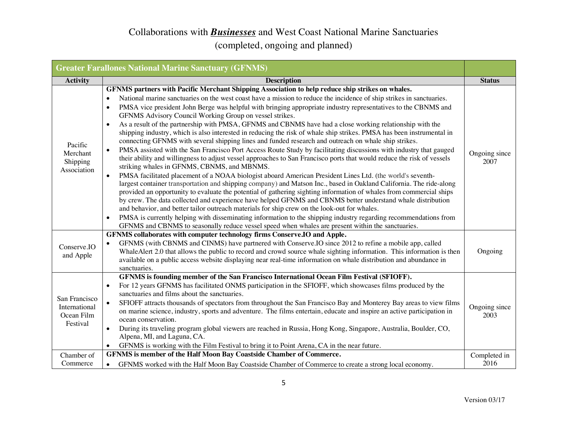|                                                          | <b>Greater Farallones National Marine Sanctuary (GFNMS)</b>                                                                                                                                                                                                                                                                                                                                                                                                                                                                                                                                                                                                                                                                                                                                                                                                                                                                                                                                                                                                                                                                                                                                                                                                                                                                                                                                                                                                                                                                                                                                                                                                                                                                                                                                                                                                                         |                       |
|----------------------------------------------------------|-------------------------------------------------------------------------------------------------------------------------------------------------------------------------------------------------------------------------------------------------------------------------------------------------------------------------------------------------------------------------------------------------------------------------------------------------------------------------------------------------------------------------------------------------------------------------------------------------------------------------------------------------------------------------------------------------------------------------------------------------------------------------------------------------------------------------------------------------------------------------------------------------------------------------------------------------------------------------------------------------------------------------------------------------------------------------------------------------------------------------------------------------------------------------------------------------------------------------------------------------------------------------------------------------------------------------------------------------------------------------------------------------------------------------------------------------------------------------------------------------------------------------------------------------------------------------------------------------------------------------------------------------------------------------------------------------------------------------------------------------------------------------------------------------------------------------------------------------------------------------------------|-----------------------|
| <b>Activity</b>                                          | <b>Description</b>                                                                                                                                                                                                                                                                                                                                                                                                                                                                                                                                                                                                                                                                                                                                                                                                                                                                                                                                                                                                                                                                                                                                                                                                                                                                                                                                                                                                                                                                                                                                                                                                                                                                                                                                                                                                                                                                  | <b>Status</b>         |
| Pacific<br>Merchant<br>Shipping<br>Association           | GFNMS partners with Pacific Merchant Shipping Association to help reduce ship strikes on whales.<br>National marine sanctuaries on the west coast have a mission to reduce the incidence of ship strikes in sanctuaries.<br>PMSA vice president John Berge was helpful with bringing appropriate industry representatives to the CBNMS and<br>$\bullet$<br>GFNMS Advisory Council Working Group on vessel strikes.<br>As a result of the partnership with PMSA, GFNMS and CBNMS have had a close working relationship with the<br>shipping industry, which is also interested in reducing the risk of whale ship strikes. PMSA has been instrumental in<br>connecting GFNMS with several shipping lines and funded research and outreach on whale ship strikes.<br>PMSA assisted with the San Francisco Port Access Route Study by facilitating discussions with industry that gauged<br>their ability and willingness to adjust vessel approaches to San Francisco ports that would reduce the risk of vessels<br>striking whales in GFNMS, CBNMS, and MBNMS.<br>PMSA facilitated placement of a NOAA biologist aboard American President Lines Ltd. (the world's seventh-<br>$\bullet$<br>largest container transportation and shipping company) and Matson Inc., based in Oakland California. The ride-along<br>provided an opportunity to evaluate the potential of gathering sighting information of whales from commercial ships<br>by crew. The data collected and experience have helped GFNMS and CBNMS better understand whale distribution<br>and behavior, and better tailor outreach materials for ship crew on the look-out for whales.<br>PMSA is currently helping with disseminating information to the shipping industry regarding recommendations from<br>٠<br>GFNMS and CBNMS to seasonally reduce vessel speed when whales are present within the sanctuaries. | Ongoing since<br>2007 |
| Conserve.IO<br>and Apple                                 | GFNMS collaborates with computer technology firms Conserve.IO and Apple.<br>GFNMS (with CBNMS and CINMS) have partnered with Conserve. IO since 2012 to refine a mobile app, called<br>$\bullet$<br>WhaleAlert 2.0 that allows the public to record and crowd source whale sighting information. This information is then<br>available on a public access website displaying near real-time information on whale distribution and abundance in<br>sanctuaries.                                                                                                                                                                                                                                                                                                                                                                                                                                                                                                                                                                                                                                                                                                                                                                                                                                                                                                                                                                                                                                                                                                                                                                                                                                                                                                                                                                                                                      | Ongoing               |
| San Francisco<br>International<br>Ocean Film<br>Festival | GFNMS is founding member of the San Francisco International Ocean Film Festival (SFIOFF).<br>For 12 years GFNMS has facilitated ONMS participation in the SFIOFF, which showcases films produced by the<br>sanctuaries and films about the sanctuaries.<br>SFIOFF attracts thousands of spectators from throughout the San Francisco Bay and Monterey Bay areas to view films<br>$\bullet$<br>on marine science, industry, sports and adventure. The films entertain, educate and inspire an active participation in<br>ocean conservation.<br>During its traveling program global viewers are reached in Russia, Hong Kong, Singapore, Australia, Boulder, CO,<br>Alpena, MI, and Laguna, CA.<br>GFNMS is working with the Film Festival to bring it to Point Arena, CA in the near future.                                                                                                                                                                                                                                                                                                                                                                                                                                                                                                                                                                                                                                                                                                                                                                                                                                                                                                                                                                                                                                                                                        | Ongoing since<br>2003 |
| Chamber of<br>Commerce                                   | GFNMS is member of the Half Moon Bay Coastside Chamber of Commerce.<br>GFNMS worked with the Half Moon Bay Coastside Chamber of Commerce to create a strong local economy.                                                                                                                                                                                                                                                                                                                                                                                                                                                                                                                                                                                                                                                                                                                                                                                                                                                                                                                                                                                                                                                                                                                                                                                                                                                                                                                                                                                                                                                                                                                                                                                                                                                                                                          | Completed in<br>2016  |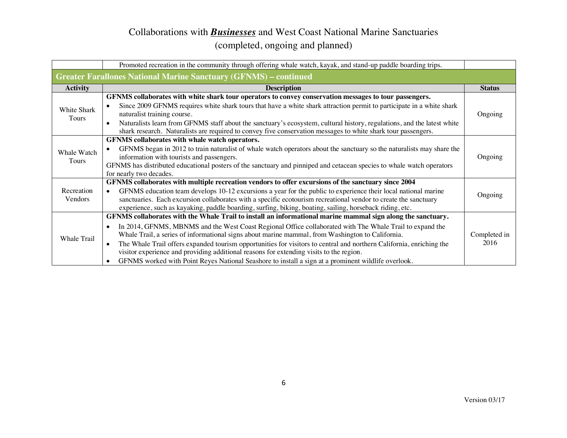|                                                                         | Promoted recreation in the community through offering whale watch, kayak, and stand-up paddle boarding trips.                                                                                                                                                                                                                                                                                                                                                                                                                                                                                                                                         |                      |
|-------------------------------------------------------------------------|-------------------------------------------------------------------------------------------------------------------------------------------------------------------------------------------------------------------------------------------------------------------------------------------------------------------------------------------------------------------------------------------------------------------------------------------------------------------------------------------------------------------------------------------------------------------------------------------------------------------------------------------------------|----------------------|
| <b>Greater Farallones National Marine Sanctuary (GFNMS) – continued</b> |                                                                                                                                                                                                                                                                                                                                                                                                                                                                                                                                                                                                                                                       |                      |
| <b>Activity</b>                                                         | <b>Description</b>                                                                                                                                                                                                                                                                                                                                                                                                                                                                                                                                                                                                                                    | <b>Status</b>        |
| White Shark<br>Tours                                                    | GFNMS collaborates with white shark tour operators to convey conservation messages to tour passengers.<br>Since 2009 GFNMS requires white shark tours that have a white shark attraction permit to participate in a white shark<br>naturalist training course.<br>Naturalists learn from GFNMS staff about the sanctuary's ecosystem, cultural history, regulations, and the latest white<br>$\bullet$<br>shark research. Naturalists are required to convey five conservation messages to white shark tour passengers.                                                                                                                               | Ongoing              |
| Whale Watch<br>Tours                                                    | GFNMS collaborates with whale watch operators.<br>GFNMS began in 2012 to train naturalist of whale watch operators about the sanctuary so the naturalists may share the<br>information with tourists and passengers.<br>GFNMS has distributed educational posters of the sanctuary and pinniped and cetacean species to whale watch operators<br>for nearly two decades.                                                                                                                                                                                                                                                                              | Ongoing              |
| Recreation<br>Vendors                                                   | GFNMS collaborates with multiple recreation vendors to offer excursions of the sanctuary since 2004<br>GFNMS education team develops 10-12 excursions a year for the public to experience their local national marine<br>sanctuaries. Each excursion collaborates with a specific ecotourism recreational vendor to create the sanctuary<br>experience, such as kayaking, paddle boarding, surfing, biking, boating, sailing, horseback riding, etc.                                                                                                                                                                                                  | Ongoing              |
| Whale Trail                                                             | GFNMS collaborates with the Whale Trail to install an informational marine mammal sign along the sanctuary.<br>In 2014, GFNMS, MBNMS and the West Coast Regional Office collaborated with The Whale Trail to expand the<br>Whale Trail, a series of informational signs about marine mammal, from Washington to California.<br>The Whale Trail offers expanded tourism opportunities for visitors to central and northern California, enriching the<br>visitor experience and providing additional reasons for extending visits to the region.<br>GFNMS worked with Point Reyes National Seashore to install a sign at a prominent wildlife overlook. | Completed in<br>2016 |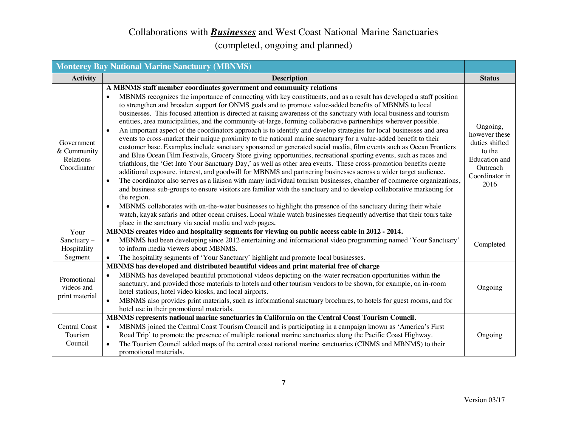|                                                       | <b>Monterey Bay National Marine Sanctuary (MBNMS)</b>                                                                                                                                                                                                                                                                                                                                                                                                                                                                                                                                                                                                                                                                                                                                                                                                                                                                                                                                                                                                                                                                                                                                                                                                                                                                                                                                                                                                                                                                                                                                                                                                                                                                                                                                                                                                               |                                                                                                                     |
|-------------------------------------------------------|---------------------------------------------------------------------------------------------------------------------------------------------------------------------------------------------------------------------------------------------------------------------------------------------------------------------------------------------------------------------------------------------------------------------------------------------------------------------------------------------------------------------------------------------------------------------------------------------------------------------------------------------------------------------------------------------------------------------------------------------------------------------------------------------------------------------------------------------------------------------------------------------------------------------------------------------------------------------------------------------------------------------------------------------------------------------------------------------------------------------------------------------------------------------------------------------------------------------------------------------------------------------------------------------------------------------------------------------------------------------------------------------------------------------------------------------------------------------------------------------------------------------------------------------------------------------------------------------------------------------------------------------------------------------------------------------------------------------------------------------------------------------------------------------------------------------------------------------------------------------|---------------------------------------------------------------------------------------------------------------------|
| <b>Activity</b>                                       | <b>Description</b>                                                                                                                                                                                                                                                                                                                                                                                                                                                                                                                                                                                                                                                                                                                                                                                                                                                                                                                                                                                                                                                                                                                                                                                                                                                                                                                                                                                                                                                                                                                                                                                                                                                                                                                                                                                                                                                  | <b>Status</b>                                                                                                       |
| Government<br>& Community<br>Relations<br>Coordinator | A MBNMS staff member coordinates government and community relations<br>MBNMS recognizes the importance of connecting with key constituents, and as a result has developed a staff position<br>to strengthen and broaden support for ONMS goals and to promote value-added benefits of MBNMS to local<br>businesses. This focused attention is directed at raising awareness of the sanctuary with local business and tourism<br>entities, area municipalities, and the community-at-large, forming collaborative partnerships wherever possible.<br>An important aspect of the coordinators approach is to identify and develop strategies for local businesses and area<br>events to cross-market their unique proximity to the national marine sanctuary for a value-added benefit to their<br>customer base. Examples include sanctuary sponsored or generated social media, film events such as Ocean Frontiers<br>and Blue Ocean Film Festivals, Grocery Store giving opportunities, recreational sporting events, such as races and<br>triathlons, the 'Get Into Your Sanctuary Day,' as well as other area events. These cross-promotion benefits create<br>additional exposure, interest, and goodwill for MBNMS and partnering businesses across a wider target audience.<br>The coordinator also serves as a liaison with many individual tourism businesses, chamber of commerce organizations,<br>$\bullet$<br>and business sub-groups to ensure visitors are familiar with the sanctuary and to develop collaborative marketing for<br>the region.<br>MBNMS collaborates with on-the-water businesses to highlight the presence of the sanctuary during their whale<br>watch, kayak safaris and other ocean cruises. Local whale watch businesses frequently advertise that their tours take<br>place in the sanctuary via social media and web pages. | Ongoing,<br>however these<br>duties shifted<br>to the<br><b>Education</b> and<br>Outreach<br>Coordinator in<br>2016 |
| Your<br>Sanctuary-<br>Hospitality<br>Segment          | MBNMS creates video and hospitality segments for viewing on public access cable in 2012 - 2014.<br>MBNMS had been developing since 2012 entertaining and informational video programming named 'Your Sanctuary'<br>$\bullet$<br>to inform media viewers about MBNMS.<br>The hospitality segments of 'Your Sanctuary' highlight and promote local businesses.                                                                                                                                                                                                                                                                                                                                                                                                                                                                                                                                                                                                                                                                                                                                                                                                                                                                                                                                                                                                                                                                                                                                                                                                                                                                                                                                                                                                                                                                                                        | Completed                                                                                                           |
| Promotional<br>videos and<br>print material           | MBNMS has developed and distributed beautiful videos and print material free of charge<br>MBNMS has developed beautiful promotional videos depicting on-the-water recreation opportunities within the<br>sanctuary, and provided those materials to hotels and other tourism vendors to be shown, for example, on in-room<br>hotel stations, hotel video kiosks, and local airports.<br>MBNMS also provides print materials, such as informational sanctuary brochures, to hotels for guest rooms, and for<br>$\bullet$<br>hotel use in their promotional materials.<br>MBNMS represents national marine sanctuaries in California on the Central Coast Tourism Council.                                                                                                                                                                                                                                                                                                                                                                                                                                                                                                                                                                                                                                                                                                                                                                                                                                                                                                                                                                                                                                                                                                                                                                                            | Ongoing                                                                                                             |
| <b>Central Coast</b><br>Tourism<br>Council            | MBNMS joined the Central Coast Tourism Council and is participating in a campaign known as 'America's First<br>$\bullet$<br>Road Trip' to promote the presence of multiple national marine sanctuaries along the Pacific Coast Highway.<br>The Tourism Council added maps of the central coast national marine sanctuaries (CINMS and MBNMS) to their<br>promotional materials.                                                                                                                                                                                                                                                                                                                                                                                                                                                                                                                                                                                                                                                                                                                                                                                                                                                                                                                                                                                                                                                                                                                                                                                                                                                                                                                                                                                                                                                                                     | Ongoing                                                                                                             |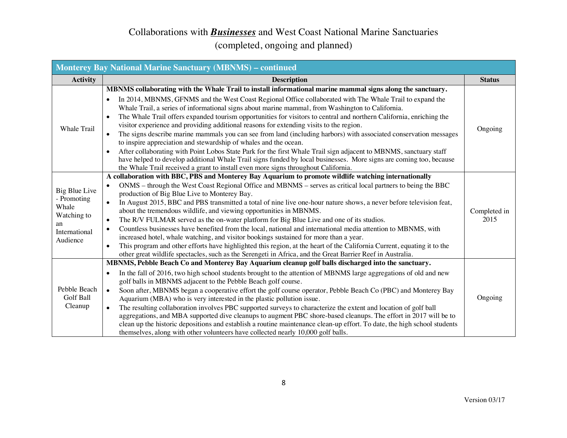| <b>Monterey Bay National Marine Sanctuary (MBNMS) - continued</b>                       |                                                                                                                                                                                                                                                                                                                                                                                                                                                                                                                                                                                                                                                                                                                                                                                                                                                                                                                                                                                                                                                                         |                      |
|-----------------------------------------------------------------------------------------|-------------------------------------------------------------------------------------------------------------------------------------------------------------------------------------------------------------------------------------------------------------------------------------------------------------------------------------------------------------------------------------------------------------------------------------------------------------------------------------------------------------------------------------------------------------------------------------------------------------------------------------------------------------------------------------------------------------------------------------------------------------------------------------------------------------------------------------------------------------------------------------------------------------------------------------------------------------------------------------------------------------------------------------------------------------------------|----------------------|
| <b>Activity</b>                                                                         | <b>Description</b>                                                                                                                                                                                                                                                                                                                                                                                                                                                                                                                                                                                                                                                                                                                                                                                                                                                                                                                                                                                                                                                      | <b>Status</b>        |
| Whale Trail                                                                             | MBNMS collaborating with the Whale Trail to install informational marine mammal signs along the sanctuary.<br>In 2014, MBNMS, GFNMS and the West Coast Regional Office collaborated with The Whale Trail to expand the<br>Whale Trail, a series of informational signs about marine mammal, from Washington to California.<br>The Whale Trail offers expanded tourism opportunities for visitors to central and northern California, enriching the<br>visitor experience and providing additional reasons for extending visits to the region.<br>The signs describe marine mammals you can see from land (including harbors) with associated conservation messages<br>to inspire appreciation and stewardship of whales and the ocean.<br>After collaborating with Point Lobos State Park for the first Whale Trail sign adjacent to MBNMS, sanctuary staff<br>have helped to develop additional Whale Trail signs funded by local businesses. More signs are coming too, because<br>the Whale Trail received a grant to install even more signs throughout California. | Ongoing              |
| Big Blue Live<br>- Promoting<br>Whale<br>Watching to<br>an<br>International<br>Audience | A collaboration with BBC, PBS and Monterey Bay Aquarium to promote wildlife watching internationally<br>ONMS – through the West Coast Regional Office and MBNMS – serves as critical local partners to being the BBC<br>production of Big Blue Live to Monterey Bay.<br>In August 2015, BBC and PBS transmitted a total of nine live one-hour nature shows, a never before television feat,<br>$\bullet$<br>about the tremendous wildlife, and viewing opportunities in MBNMS.<br>The R/V FULMAR served as the on-water platform for Big Blue Live and one of its studios.<br>$\bullet$<br>Countless businesses have benefited from the local, national and international media attention to MBNMS, with<br>increased hotel, whale watching, and visitor bookings sustained for more than a year.<br>This program and other efforts have highlighted this region, at the heart of the California Current, equating it to the<br>other great wildlife spectacles, such as the Serengeti in Africa, and the Great Barrier Reef in Australia.                              | Completed in<br>2015 |
| Pebble Beach<br><b>Golf Ball</b><br>Cleanup                                             | MBNMS, Pebble Beach Co and Monterey Bay Aquarium cleanup golf balls discharged into the sanctuary.<br>In the fall of 2016, two high school students brought to the attention of MBNMS large aggregations of old and new<br>$\bullet$<br>golf balls in MBNMS adjacent to the Pebble Beach golf course.<br>Soon after, MBNMS began a cooperative effort the golf course operator, Pebble Beach Co (PBC) and Monterey Bay<br>$\bullet$<br>Aquarium (MBA) who is very interested in the plastic pollution issue.<br>The resulting collaboration involves PBC supported surveys to characterize the extent and location of golf ball<br>aggregations, and MBA supported dive cleanups to augment PBC shore-based cleanups. The effort in 2017 will be to<br>clean up the historic depositions and establish a routine maintenance clean-up effort. To date, the high school students<br>themselves, along with other volunteers have collected nearly 10,000 golf balls.                                                                                                     | Ongoing              |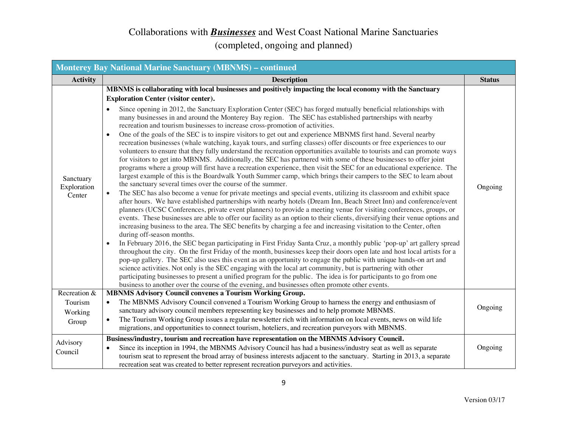| <b>Monterey Bay National Marine Sanctuary (MBNMS) - continued</b> |                                                                                                                                                                                                                                                                                                                                                                                                                                                                                                                                                                                                                                                                                                                                                                                                                                                                                                                                                                                                                                                                                                                                                                                                                                                                                                                                                                                                                                                                                                                                                                                                                                                                                                                                                                                                                                                                                                                                                                                                                                                                                                                                                                                                                                                                                                                                                                                                                                                                                                                                                                                                                                                                            |               |
|-------------------------------------------------------------------|----------------------------------------------------------------------------------------------------------------------------------------------------------------------------------------------------------------------------------------------------------------------------------------------------------------------------------------------------------------------------------------------------------------------------------------------------------------------------------------------------------------------------------------------------------------------------------------------------------------------------------------------------------------------------------------------------------------------------------------------------------------------------------------------------------------------------------------------------------------------------------------------------------------------------------------------------------------------------------------------------------------------------------------------------------------------------------------------------------------------------------------------------------------------------------------------------------------------------------------------------------------------------------------------------------------------------------------------------------------------------------------------------------------------------------------------------------------------------------------------------------------------------------------------------------------------------------------------------------------------------------------------------------------------------------------------------------------------------------------------------------------------------------------------------------------------------------------------------------------------------------------------------------------------------------------------------------------------------------------------------------------------------------------------------------------------------------------------------------------------------------------------------------------------------------------------------------------------------------------------------------------------------------------------------------------------------------------------------------------------------------------------------------------------------------------------------------------------------------------------------------------------------------------------------------------------------------------------------------------------------------------------------------------------------|---------------|
| <b>Activity</b>                                                   | <b>Description</b>                                                                                                                                                                                                                                                                                                                                                                                                                                                                                                                                                                                                                                                                                                                                                                                                                                                                                                                                                                                                                                                                                                                                                                                                                                                                                                                                                                                                                                                                                                                                                                                                                                                                                                                                                                                                                                                                                                                                                                                                                                                                                                                                                                                                                                                                                                                                                                                                                                                                                                                                                                                                                                                         | <b>Status</b> |
| Sanctuary<br>Exploration<br>Center                                | MBNMS is collaborating with local businesses and positively impacting the local economy with the Sanctuary<br><b>Exploration Center (visitor center).</b><br>Since opening in 2012, the Sanctuary Exploration Center (SEC) has forged mutually beneficial relationships with<br>many businesses in and around the Monterey Bay region. The SEC has established partnerships with nearby<br>recreation and tourism businesses to increase cross-promotion of activities.<br>One of the goals of the SEC is to inspire visitors to get out and experience MBNMS first hand. Several nearby<br>recreation businesses (whale watching, kayak tours, and surfing classes) offer discounts or free experiences to our<br>volunteers to ensure that they fully understand the recreation opportunities available to tourists and can promote ways<br>for visitors to get into MBNMS. Additionally, the SEC has partnered with some of these businesses to offer joint<br>programs where a group will first have a recreation experience, then visit the SEC for an educational experience. The<br>largest example of this is the Boardwalk Youth Summer camp, which brings their campers to the SEC to learn about<br>the sanctuary several times over the course of the summer.<br>The SEC has also become a venue for private meetings and special events, utilizing its classroom and exhibit space<br>$\bullet$<br>after hours. We have established partnerships with nearby hotels (Dream Inn, Beach Street Inn) and conference/event<br>planners (UCSC Conferences, private event planners) to provide a meeting venue for visiting conferences, groups, or<br>events. These businesses are able to offer our facility as an option to their clients, diversifying their venue options and<br>increasing business to the area. The SEC benefits by charging a fee and increasing visitation to the Center, often<br>during off-season months.<br>In February 2016, the SEC began participating in First Friday Santa Cruz, a monthly public 'pop-up' art gallery spread<br>$\bullet$<br>throughout the city. On the first Friday of the month, businesses keep their doors open late and host local artists for a<br>pop-up gallery. The SEC also uses this event as an opportunity to engage the public with unique hands-on art and<br>science activities. Not only is the SEC engaging with the local art community, but is partnering with other<br>participating businesses to present a unified program for the public. The idea is for participants to go from one<br>business to another over the course of the evening, and businesses often promote other events. | Ongoing       |
| Recreation &                                                      | <b>MBNMS Advisory Council convenes a Tourism Working Group.</b>                                                                                                                                                                                                                                                                                                                                                                                                                                                                                                                                                                                                                                                                                                                                                                                                                                                                                                                                                                                                                                                                                                                                                                                                                                                                                                                                                                                                                                                                                                                                                                                                                                                                                                                                                                                                                                                                                                                                                                                                                                                                                                                                                                                                                                                                                                                                                                                                                                                                                                                                                                                                            |               |
| Tourism<br>Working<br>Group                                       | The MBNMS Advisory Council convened a Tourism Working Group to harness the energy and enthusiasm of<br>sanctuary advisory council members representing key businesses and to help promote MBNMS.<br>The Tourism Working Group issues a regular newsletter rich with information on local events, news on wild life<br>migrations, and opportunities to connect tourism, hoteliers, and recreation purveyors with MBNMS.                                                                                                                                                                                                                                                                                                                                                                                                                                                                                                                                                                                                                                                                                                                                                                                                                                                                                                                                                                                                                                                                                                                                                                                                                                                                                                                                                                                                                                                                                                                                                                                                                                                                                                                                                                                                                                                                                                                                                                                                                                                                                                                                                                                                                                                    | Ongoing       |
| Advisory<br>Council                                               | Business/industry, tourism and recreation have representation on the MBNMS Advisory Council.<br>Since its inception in 1994, the MBNMS Advisory Council has had a business/industry seat as well as separate<br>tourism seat to represent the broad array of business interests adjacent to the sanctuary. Starting in 2013, a separate<br>recreation seat was created to better represent recreation purveyors and activities.                                                                                                                                                                                                                                                                                                                                                                                                                                                                                                                                                                                                                                                                                                                                                                                                                                                                                                                                                                                                                                                                                                                                                                                                                                                                                                                                                                                                                                                                                                                                                                                                                                                                                                                                                                                                                                                                                                                                                                                                                                                                                                                                                                                                                                            | Ongoing       |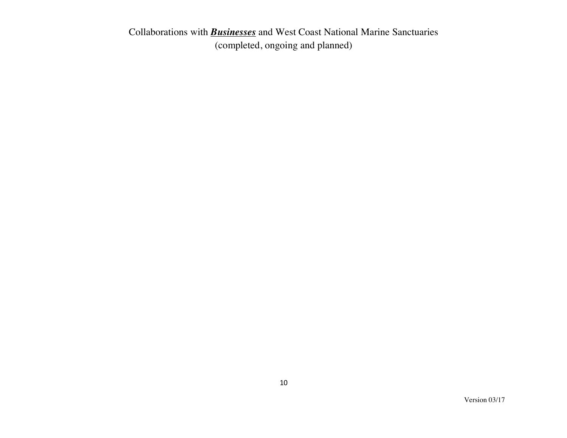Collaborations with *Businesses* and West Coast National Marine Sanctuaries (completed, ongoing and planned)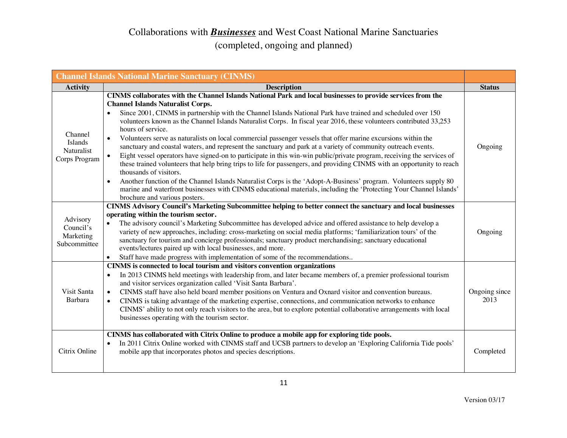|                                                                 | <b>Channel Islands National Marine Sanctuary (CINMS)</b>                                                                                                                                                                                                                                                                                                                                                                                                                                                                                                                                                                                                                                                                                                                                                                                                                                                                                                                                                                                                                                                                                                                                                                                |                       |
|-----------------------------------------------------------------|-----------------------------------------------------------------------------------------------------------------------------------------------------------------------------------------------------------------------------------------------------------------------------------------------------------------------------------------------------------------------------------------------------------------------------------------------------------------------------------------------------------------------------------------------------------------------------------------------------------------------------------------------------------------------------------------------------------------------------------------------------------------------------------------------------------------------------------------------------------------------------------------------------------------------------------------------------------------------------------------------------------------------------------------------------------------------------------------------------------------------------------------------------------------------------------------------------------------------------------------|-----------------------|
| <b>Activity</b>                                                 | <b>Description</b>                                                                                                                                                                                                                                                                                                                                                                                                                                                                                                                                                                                                                                                                                                                                                                                                                                                                                                                                                                                                                                                                                                                                                                                                                      | <b>Status</b>         |
| Channel<br><b>Islands</b><br><b>Naturalist</b><br>Corps Program | CINMS collaborates with the Channel Islands National Park and local businesses to provide services from the<br><b>Channel Islands Naturalist Corps.</b><br>Since 2001, CINMS in partnership with the Channel Islands National Park have trained and scheduled over 150<br>volunteers known as the Channel Islands Naturalist Corps. In fiscal year 2016, these volunteers contributed 33,253<br>hours of service.<br>Volunteers serve as naturalists on local commercial passenger vessels that offer marine excursions within the<br>$\bullet$<br>sanctuary and coastal waters, and represent the sanctuary and park at a variety of community outreach events.<br>Eight vessel operators have signed-on to participate in this win-win public/private program, receiving the services of<br>$\bullet$<br>these trained volunteers that help bring trips to life for passengers, and providing CINMS with an opportunity to reach<br>thousands of visitors.<br>Another function of the Channel Islands Naturalist Corps is the 'Adopt-A-Business' program. Volunteers supply 80<br>marine and waterfront businesses with CINMS educational materials, including the 'Protecting Your Channel Islands'<br>brochure and various posters. | Ongoing               |
| Advisory<br>Council's<br>Marketing<br>Subcommittee              | <b>CINMS Advisory Council's Marketing Subcommittee helping to better connect the sanctuary and local businesses</b><br>operating within the tourism sector.<br>The advisory council's Marketing Subcommittee has developed advice and offered assistance to help develop a<br>$\bullet$<br>variety of new approaches, including: cross-marketing on social media platforms; 'familiarization tours' of the<br>sanctuary for tourism and concierge professionals; sanctuary product merchandising; sanctuary educational<br>events/lectures paired up with local businesses, and more.<br>Staff have made progress with implementation of some of the recommendations<br>$\bullet$                                                                                                                                                                                                                                                                                                                                                                                                                                                                                                                                                       | Ongoing               |
| Visit Santa<br>Barbara                                          | CINMS is connected to local tourism and visitors convention organizations<br>In 2013 CINMS held meetings with leadership from, and later became members of, a premier professional tourism<br>$\bullet$<br>and visitor services organization called 'Visit Santa Barbara'.<br>CINMS staff have also held board member positions on Ventura and Oxnard visitor and convention bureaus.<br>$\bullet$<br>CINMS is taking advantage of the marketing expertise, connections, and communication networks to enhance<br>$\bullet$<br>CINMS' ability to not only reach visitors to the area, but to explore potential collaborative arrangements with local<br>businesses operating with the tourism sector.                                                                                                                                                                                                                                                                                                                                                                                                                                                                                                                                   | Ongoing since<br>2013 |
| Citrix Online                                                   | CINMS has collaborated with Citrix Online to produce a mobile app for exploring tide pools.<br>In 2011 Citrix Online worked with CINMS staff and UCSB partners to develop an 'Exploring California Tide pools'<br>mobile app that incorporates photos and species descriptions.                                                                                                                                                                                                                                                                                                                                                                                                                                                                                                                                                                                                                                                                                                                                                                                                                                                                                                                                                         | Completed             |